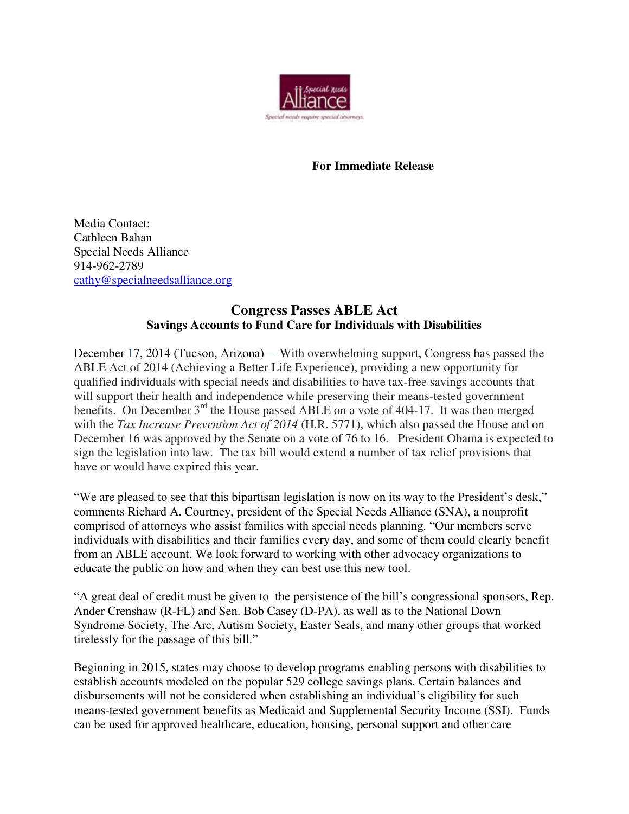

## **For Immediate Release**

Media Contact: Cathleen Bahan Special Needs Alliance 914-962-2789 [cathy@specialneedsalliance.org](mailto:cathy@specialneedsalliance.org)

## **Congress Passes ABLE Act Savings Accounts to Fund Care for Individuals with Disabilities**

December 17, 2014 (Tucson, Arizona)— With overwhelming support, Congress has passed the ABLE Act of 2014 (Achieving a Better Life Experience), providing a new opportunity for qualified individuals with special needs and disabilities to have tax-free savings accounts that will support their health and independence while preserving their means-tested government benefits. On December 3<sup>rd</sup> the House passed ABLE on a vote of 404-17. It was then merged with the *Tax Increase Prevention Act of 2014* (H.R. 5771), which also passed the House and on December 16 was approved by the Senate on a vote of 76 to 16. President Obama is expected to sign the legislation into law. The tax bill would extend a number of tax relief provisions that have or would have expired this year.

"We are pleased to see that this bipartisan legislation is now on its way to the President's desk," comments Richard A. Courtney, president of the Special Needs Alliance (SNA), a nonprofit comprised of attorneys who assist families with special needs planning. "Our members serve individuals with disabilities and their families every day, and some of them could clearly benefit from an ABLE account. We look forward to working with other advocacy organizations to educate the public on how and when they can best use this new tool.

"A great deal of credit must be given to the persistence of the bill's congressional sponsors, Rep. Ander Crenshaw (R-FL) and Sen. Bob Casey (D-PA), as well as to the National Down Syndrome Society, The Arc, Autism Society, Easter Seals, and many other groups that worked tirelessly for the passage of this bill."

Beginning in 2015, states may choose to develop programs enabling persons with disabilities to establish accounts modeled on the popular 529 college savings plans. Certain balances and disbursements will not be considered when establishing an individual's eligibility for such means-tested government benefits as Medicaid and Supplemental Security Income (SSI). Funds can be used for approved healthcare, education, housing, personal support and other care